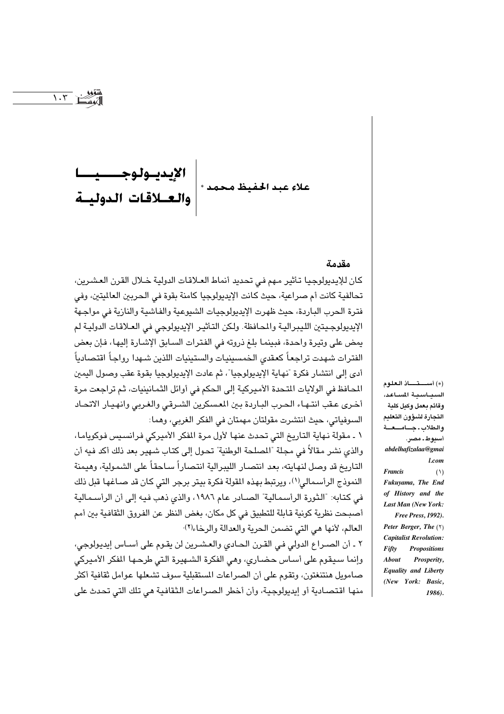#### مقدمة

كان للإيديولوجيا تأثير مهم في تحديد أنماط العـلاقات الدولية خـلال القرن العشرين، تحالفية كانت أم صراعية، حيث كانت الإيديولوجيا كامنة بقوة في الحربين العالميتين، وفي فترة الحرب الباردة، حيث ظهرت الإيديولوجيات الشيوعية والفاشية والنازية في مواجهة الإيديولوجيتين الليبرالية والمحافظة. ولكن التأثير الإيديولوجي في العلاقات الدولية لم يمض على وتيرة واحدة، فبينما بلغ ذروته في الفترات السـابق الإشـارة إليها، فإن بعض الفترات شهدت تراجعاً كعقدى الخمسينيات والستينيات اللذين شـهدا رواجاً اقتصادياً أدى إلى انتشار فكرة "نهاية الإيديولوجيا"، ثم عادت الإيديولوجيا بقوة عقب وصول اليمين المحافظ في الولايات المتحدة الأميركية إلى الحكم في أوائل الثمانينيات، ثم تراجعت مرة أخرى عقب انتهاء الحرب الباردة بين المسكرين الشرقي والغربي وانهيار الاتحاد السوفياتي، حيث انتشرت مقولتان مهمتان في الفكر الغربي، وهما:

١ ـ مقولة نـهاية التـاريخ التي تحدث عنها لأول مرة المفكر الأميركي فـرانسـيس فـوكويامـا، والذي نشر مقالاً في مجلة "المصلحة الوطنية" تحول إلى كتاب شهير بعد ذلك أكد فيه أن التاريخ قد وصل لنهايته، بعد انتصار الليبرالية انتصاراً ساحقاً على الشمولية، وهيمنة النموذج الرأسمالي(١)، ويرتبط بهذه المقولة فكرة بيتر برجر التي كان قد صـاغهـا قبل ذلك في كتابه: "الثورة الرأسمالية" الصـادر عام ١٩٨٦، والذي ذهب فيه إلى أن الرأسـمالية أصبحت نظرية كونية قابلة للتطبيق في كل مكان، بغض النظر عن الفروق الثقافية بين أمم العالم، لأنها هي التي تضمن الحرية والعدالة والرخاء(٢)·

٢ ـ أن الصـراع الدولي في القـرن الحـادي والعـشـرين لن يقـوم على أسـاس إيديولوجي، وإنما سيقوم على أساس حضاري، وهي الفكرة الشهيرة التي طرحها المفكر الأميركي صامويل هنتنغتون، وتقوم على أن الصراعات المستقبلية سوف تشعلها عوامل ثقافية أكثر منها اقتصادية أو إيديولوجية، وأن أخطر الصراعات الثقافية هي تلك التي تحدث على (\*) أستقاذ العلوم السياسية المساعد، وقائم بعمل وكيل كلية التجارة لشؤون التعليم والطلاب ـ جـامــعـة أسيوط. مصر. abdelhafizalaa@gmai  $I$  com **Francis**  $(1)$ Fukuyama, The End of History and the Last Man (New York: Free Press, 1992). Peter Berger, The (٢) **Capitalist Revolution:** Fifty **Propositions About** Prosperity, **Equality and Liberty** (New York: Basic. 1986).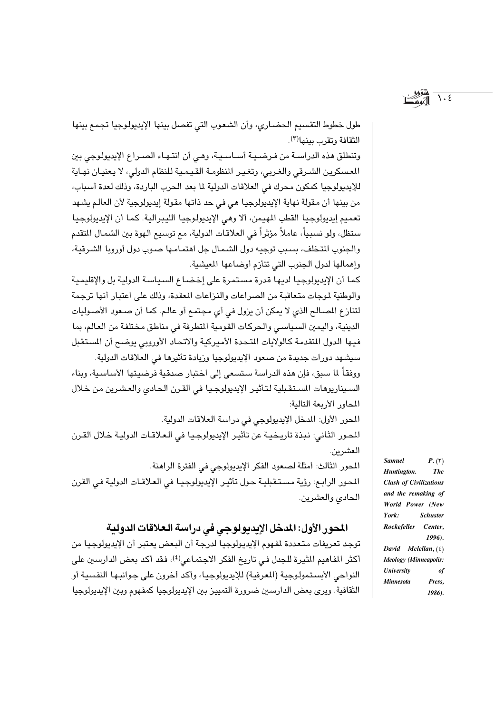$\backslash$ .  $\xi$ 

طول خطوط التقسيم الحضـاري، وأن الشعوب التي تفصل بينها الإيديولوجيا تجمع بينها الثقافة وتقرب بينها(٣).

وتنطلق هذه الدراسـة من فـرضـيـة أسـاسـيـة، وهـى أن انتـهـاء الصـراع الإيديولـوجى بين المسكرين الشرقي والغربي، وتغير المنظومة القيمية للنظام الدولي، لا يعنيان نهاية للإيديولوجيا كمكون محرك في العلاقات الدولية لما بعد الحرب الباردة، وذلك لعدة أسباب، من بينها أن مقولة نهاية الإيديولوجيا هي في حد ذاتها مقولة إيديولوجية لأن العالم يشهد تعميم إيديولوجيا القطب المهيمن، ألا وهي الإيديولوجيا الليبرالية. كما أن الإيديولوجيا ستظل، ولو نسبياً، عاملاً مؤثراً في العلاقات الدولية، مع توسيع الهوة بين الشمال المتقدم والجنوب المتخلف، بسبب توجيه دول الشمال جل اهتمامها صبوب دول أوروبا الشرقية، وإهمالها لدول الجنوب التي تتأزم أوضاعها المعيشية.

كما أن الإيديولوجيا لديها قدرة مستمرة على إخضاع السياسة الدولية بل والإقليمية والوطنية لموجات متعاقبة من الصراعات والنزاعات المعقدة، وذلك على اعتبار أنها ترجمة لتنازع المصالح الذي لا يمكن أن يزول في أي مجتمع أو عالم. كما أن صعود الأصوليات الدينية، واليمين السياسي والحركات القومية المتطرفة في مناطق مختلفة من العالم، بما فيها الدول المتقدمة كالولايات المتحدة الأميركية والاتحاد الأوروبي يوضح أن المستقبل سيشهد دورات حديدة من صعود الإيدبولوجيا وربادة تأثيرها في العلاقات الدولية.

ووفقاً لما سبق، فإن هذه الدراسة ستسعى إلى اختبار صدقية فرضيتها الأساسية، وبناء السيناريوهات المستقبلية لتأثير الإيديولوجيا في القرن الحادي والعشرين من خلال المحاور الأربعة التالية:

المحور الأول: المدخل الإيديولوجي في دراسة العلاقات الدولية. المحور الثاني: نبذة تاريخية عن تأثير الإيديولوجيا في العلاقات الدولية خلال القرن العشرين.

المحور الثالث: أمثلة لصعود الفكر الإيديولوجي في الفترة الراهنة. المحور الرابع: رؤية مستقبلية حول تأثير الإيديولوجيا في العلاقات الدولية في القرن الحادي والعشرين.

## المحور الأول: المدخل الإيديولوجي في دراسة العلاقات الدولية

توجد تعريفات متعددة لمفهوم الإيديولوجيا لدرجة أن البعض يعتبر أن الإيديولوجيا من أكثر الفاهيم الثيرة للجدل في تاريخ الفكر الاجتماعي<sup>(٤)</sup>، فقد أكد بعض الدارسين على النواحي الأبستمولوجية (المرفية) للإيديولوجيا، وأكد أخرون على جوانبها النفسية أو الثقافية. ويرى بعض الدارسين ضرورة التمييز بين الإيديولوجيا كمفهوم وبين الإيديولوجيا

 $P.(\tau)$ **Samuel** Huntington.  $The$ **Clash of Civilizations** and the remaking of World Power (New  $\mathbf{V}$ ork $\cdot$ **Schuster** Rockefeller Center, 1996). David Mclellan,  $(5)$ **Ideology** (Minneapolis: **University** of **Minnesota** Press. 1986).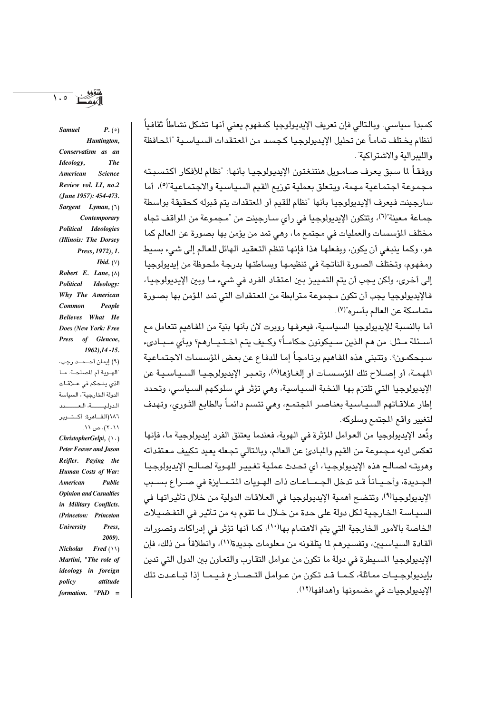كمبدأ سياسي. وبالتالي فإن تعريف الإيديولوجيا كمفهوم يعني أنها تشكل نشاطاً ثقافياً لنظام يختلف تماماً عن تحليل الإيديولوجيا كجسد من المعتقدات السياسية "المحافظة واللبير الية والاشتر اكية".

ووفقـاً لما سبق يعرف صـامـويل هنتنـغتون الإيديولوجيـا بأنها: "نظام للأفكار اكتسبـته مجموعة اجتماعية مهمة، ويتعلق بعملية توزيع القيم السياسية والاجتماعية"(9)، أما سارحينت فيعرف الإيدبولوجيا بأنها "نظام للقيم أو المعتقدات بتم قبوله كحقيقة بواسطة جماعة معينة"(٦)، وتتكون الإيديولوجيا في رأى سـارجينت من "مـجموعة من المواقف تجاه مختلف المؤسسات والعمليات في مجتمع ما، وهي تمد من يؤمن بها بصورة عن العالم كما هو، وكما ينبغي أن يكون، وبفعلها هذا فإنها تنظم التعقيد الهائل للعالم إلى شيء بسيط ومفهوم، وتختلف الصورة الناتجة في تنظيمها ويساطتها بدرجة ملحوظة من إيديولوجيا إلى أخرى، ولكن يجب أن يتم التمييز بين اعتقاد الفرد في شيء ما وبين الإيديولوجيا، فالإيديولوجيا يجب أن تكون مجموعة مترابطة من المعتقدات التي تمد المؤمن بها بصورة متماسكة عن العالم بأسره"(٧).

أما بالنسبة للإيديولوجيا السياسية، فيعرفها روبرت لان بأنها بنية من المفاهيم تتعامل مع أسـئلة مـثل: من هم الذين سـيـكونون حكامــاً؟ وكـيف يتم اخـتـيــارهم؟ وبأي مــبـاديء سيبحكمون؟. وتتبنى هذه الفاهيم برنامجاً اما للدفاع عن بعض الؤسسات الاجتماعية المهمة، أو إصـلاح تلك المؤسسـات أو إلغـاؤها(^)، وتعبـر الإيديولوجـيـا السـيـاسـيـة عن الإيديولوجيا التي تلتزم بها النخبة السياسية، وهي تؤثر في سلوكهم السياسي، وتحدد إطار علاقـاتهم السـيـاسـية بعنـاصـر المجتمـع، وهـى تتسـم دائمـاً بالطابـع الثـوري، وتهدف لتغيير واقع المجتمع وسلوكه.

وتُعد الإيديولوجيا من العوامل المَرْثرة في الهوية، فعندما يعتنق الفرد إيديولوجية ما، فإنها تعكس لديه مجموعة من القيم والمبادئ عن العالم، وبالتالي تجعله يعيد تكييف معتقداته وهويته لصالح هذه الإيديولوجيا، أي تحدث عملية تغيير للهوية لصالح الإيديولوجيا الجديدة، وأحـيـانـاً قـد تدخل الجـمــاعـات ذات الهـويات المتـمـايزة في صــراع بســبب الإيديولوجيالا)، وتتضح أهمية الإيديولوجيا في العلاقات الدولية من خلال تأثيراتها في السياسة الخارجية لكل دولة على حدة من خلال ما تقوم به من تأثير في التفضيلات الخاصة بالأمور الخارجية التي يتم الاهتمام بها١٠')، كما أنها تؤثر في إدراكات وتصورات القادة السياسيين، وتفسيرهم لما يتلقونه من معلومات حديدة(١١)، وإنطلاقاً من ذلك، فإن الإيديولوجيا المسيطرة في دولة ما تكون من عوامل التقارب والتعاون بين الدول التي تدين بإيديولوجييات مماثلة، كـمـا قـد تكون من عـوامل التـصـار ع فـيـمـا إذا تبـاعـدت تلك الإيديولوجيات في مضمونها وأهدافها(١٢).

Conservatism as an The Ideology, American **Science** Review vol. LI, no.2 (June 1957): 454-473. Sargent Lyman,  $(1)$ Contemporary Political Ideologies (Illinois: The Dorsey Press, 1972), 1. *Ibid.*  $(V)$ Robert E. Lane,  $(\wedge)$ Political Ideology: Why The American People Common Believes What He Does (New York: Free Press of Glencoe,  $1962$ ,  $14 - 15$ . (۹) إيمان أحــمــد رجب، الهوية أم المصلحة: ما الذي يتحكم في علاقات الدولة الخارجية"، السياسة الدولية، العصدد ١٨٦(القــاهرة: أكــتــوير ۲۰۱۱)، ص ۱۱. ChristopherGelpi,  $( \setminus )$ Peter Feaver and Jason Reifler. Paying the Human Costs of War: **American**  $$ **Opinion and Casualties** in Military Conflicts. (Princeton: Princeton *University* Press 2009).  $Fred(\wedge\wedge)$ **Nicholas** Martini, "The role of ideology in foreign policy attitude formation. " $PhD =$ 

 $\lambda \cdot \circ$ 

**Samuel** 

 $P_{\cdot}(\circ)$ 

Huntington,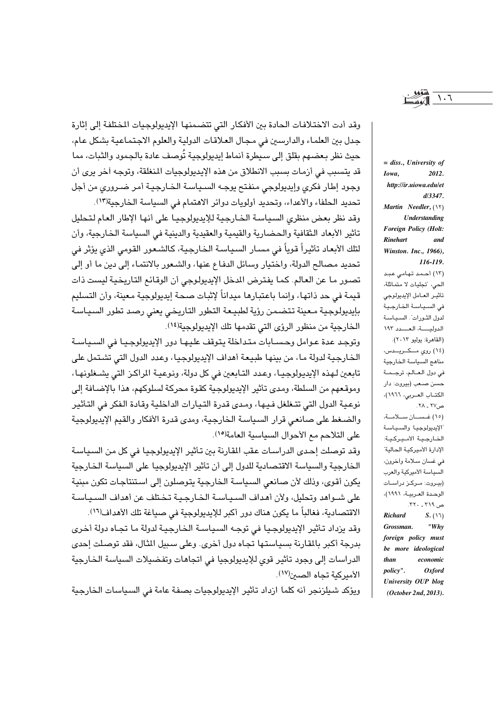وقد أدت الاختلافات الحادة بين الأفكار التي تتضمنها الإيديولوجيات المختلفة إلى إثارة جدل بين العلماء والدارسين في مجال العلاقات الدولية والعلوم الاجتماعية بشكل عام، حيث نظر بعضهم بقلق إلى سيطرة أنماط إيديولوجية تُوصف عادة بالجمود والثبات، مما قد يتسبب في أزمات بسبب الانطلاق من هذه الإيديولوجيات المنغلقة، وتوجه آخر يرى أن وجود إطار فكرى وإيديولوجي منفتح يوجه السياسة الخارجية أمر ضرورى من أجل تحديد الحلفاء والأعداء، وتحديد أولويات دوائر الاهتمام في السياسة الخارجية(١٣).

وقد نظر بعض منظري السياسة الخـارجية للإيديولوجيـا على أنها الإطار العـام لـتـحليل تأثير الأبعاد الثقافية والحضارية والقيمية والعقيدية والدينية في السياسة الخارجية، وأن لتلك الأبعاد تأثيراً قوياً في مسار السياسة الخارجية، كالشعور القومي الذي يؤثر في تحديد مصالح الدولة، واختيار وسائل الدفاع عنها، والشعور بالانتماء إلى دين ما أو إلى تصور ما عن العالم. كما يفترض الدخل الإيديولوجي أن الوقائع التاريخية ليست ذات قيمة في حد ذاتها، وإنما باعتبارها ميداناً لإثبات صحة إيديولوجية معينة، وأن التسليم بإيديولوجية معينة تتضمن رؤية لطبيعة التطور التاريخي يعنى رصد تطور السياسة الخارجية من منظور الرؤى التي تقدمها تلك الإيديولوجية(١٤).

وتوجد عدة عوامل وحسـابات متداخلة يتوقف عليهـا دور الإيديولوجيـا في السـياسـة الخارجية لدولة ما، من بينها طبيعة أهداف الإيديولوجيا، وعدد الدول التي تشتمل على تابعين لهذه الإيديولوجيـا، وعدد التـابعين في كل دولة، ونوعيـة المراكـز التي يشـغلونهـا، وموقعهم من السلطة، ومدى تأثير الإيديولوجية كقوة محركة لسلوكهم، هذا بالإضافة إلى نوعية الدول التي تتـغلغل فـيـها، ومـدى قدرة التـيارات الداخلية وقـادة الـفكر في التـأثير والضغط على صانعي قرار السياسة الخارجية، ومدى قدرة الأفكار والقيم الإيديولوجية على التلاحم مع الأحوال السياسية العامة(١٥).

وقد توصلت إحدى الدراسات عقب المقارنة بين تأثير الإيديولوجيا في كل من السياسة الخارجية والسياسة الاقتصادية للدول إلى أن تأثير الإيديولوجيا على السياسة الخارجية يكون أقوى، وذلك لأن صانعي السياسة الخارجية يتوصلون إلى استنتاجات تكون مبنية على شــواهد وتحليل، ولأن أهداف السـيـاسـة الخـارجـيـة تـخـتلف عن أهداف السـيـاسـة الاقتصادية، فغالباً ما يكون هناك دور أكبر للإيديولوجية في صياغة تلك الأهداف(١٦). وقد يزداد تأثير الإيديولوجيا في توجه السياسة الخارجية لدولة ما تجاه دولة أخرى بدرجة أكبر بالقارنة بسياستها تجاه دول أخرى. وعلى سبيل الثال، فقد توصلت احدى

الدراسات إلى وجود تأثير قوى للإيديولوجيا في اتجاهات وتفضيلات السياسة الخارجية الأمير كية تحاه الصين(١٧).

ويؤكد شيلزنجر أنه كلما ازداد تأثير الإيديولوجيات بصفة عامة فى السياسات الخارجية

 $=$  diss., University of Iowa. 2012. http://ir.uiowa.edu/et  $d/3347.$ Martin Needler, (١٢) Understanding Foreign Policy (Holt: **Rinehart** and Winston. Inc., 1966), 116-119. (١٢) أحمد تهامى عبد الحي، "تجليات لا متماثلة، تأثير العامل الإيديولوجي فى السياسة الخارجية لدول الشورات". السيباسية الدولية، العسدد ١٩٢ (القاهرة: يوليو ٢٠١٣). (١٤) روى مــكــريـــدس، مناهج السياسة الخارجية في دول العـالم، ترجـمـة حسن صعب (بيروت: دار الكتـاب العـربي، ١٩٦٦)، ص۲۷ ـ ۲۸. (١٥) غسان سلامة، الإيديولوجيا والسياسة الخارجية الأميركية: الإدارة الأميركية الحالية" في غسان سلامة وأخرون، السياسة الأميركية والعرب (بيروت: مركز دراسات الوحدة العربيـة، ١٩٩١)، ص ٣١٩ ـ ٣٢٠. **Richard**  $S.(\lambda \lambda)$ " $Whv$ **Grossman** foreign policy must be more ideological

than

policy".

University OUP blog

 $(October 2nd, 2013).$ 

economic

 $Oxford$ 

 $\mathcal{L} \cdot \mathcal{L}$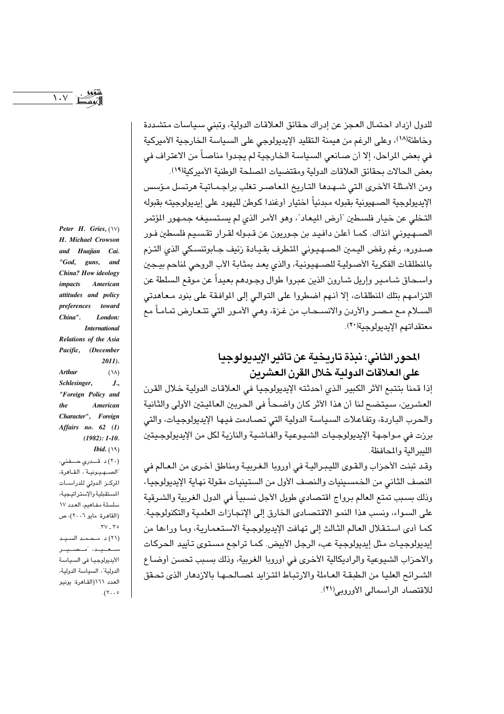$\lambda \cdot V$ 

Peter H. Gries,  $(\forall)$ H. Michael Crowson and Huajian Cai.  $"God,$ guns, and China? How ideology American *impacts* attitudes and policy preferences toward China". London: **International** Relations of the Asia Pacific, (December 2011). **Arthur**  $(\lambda \lambda)$ Schlesinger,  $J_{\cdot}$ "Foreign Policy and  $the$ American Character", Foreign Affairs no. 62 (1)  $(1982): 1-10.$ *Ibid.*  $(19)$ (۲۰) د. قصدری حسفنی، "الصـهـيـونيـة"، القـاهرة،

المركز الدولى للدراسات المستقبلية والإستراتيجية، سلسلة مفاهيم، العدد ١٧ (القاهرة: مايو ٢٠٠٦)، ص  $TV$   $Y^{\circ}$ (٢١) د. محمد السيد ستعيد أمنصليتر الأيديولوجيا فى السياسة الدولية"، السياسة الدولية، العدد ١٦١(القاهرة: يونيو  $(1) \cdot \cdot \cdot$ 

للدول ازداد احتمال العجز عن إدراك حقائق العلاقات الدولية، وتبنى سياسات متشددة وخاطئة(١٨)، وعلى الرغم من هيمنة التقليد الإيديولوجي على السياسة الخارجية الأميركية في بعض الراحل، إلا أن صـانعي السـياسـة الـخـارجيـة لم يجدوا مناصـاً من الاعتراف في بعض الحالات بحقائق العلاقات الدولية ومقتضيات المصلحة الوطنية الأميركية(١٩). ومن الأمثلة الأخرى التي شـهدها التـاريخ المعاصـر تغلب براجـمـاتيـة هرتسل مـؤسس الإبدبولوجية الصبهبونية بقبوله مبدئياً اختيار أوغندا كوطن للبهوبي على ابدبولوجيته بقبوله التخلي عن خيار فلسطبن "أرض البيعاد"، وهو الأمر الذي لم يستسيغه جمهور المؤتمر الصــهـيونـي أنذاك. كمـا أعلن دافيـد بن جـوريون عن قـبـوله لقـرار تقسـيـم فلسطين فـور صدوره، رغم رفض اليمين الصهيوني المتطرف بقيادة رئيف جـابوتنسكي الذي التـزم بالنطلقات الفكرية الأصولية للصهيونية، والذي يعد بمثابة الأب الروحي لناحم بيجبن واسـحـاق شـامـير وإريل شـارون الذين عبروا طوال وجـودهم بعيداً عن مـوقـع السلطة عن التزامهم بتلك المنطلقات، إلا أنهم اضطروا على التوالي إلى الموافقة على بنود معاهدتي الســلام مـع مـصـر والأردن والانســحـاب من غـزة، وهـى الأمـور التي تتـعـارض تمـامـاً مـع معتقداتهم الإيديولوجية(٢٠).

# المحور الثاني: نبذة تاريخية عن تأثير الإيديولوجيا على العلاقات الدولية خلال القرن العشرين

إذا قمنا بتتبع الأثر الكبير الذي أحدثته الإيديولوجيا في العلاقات الدولية خلال القرن العشرين، سيتضح لنا أن هذا الأثر كان واضحاً في الحربين العالميتين الأولى والثانية والحرب الباردة، وتفاعلات السياسة الدولية التي تصادمت فيها الإيديولوجيات، والتي برزت في مـواجـهة الإيديولوجـيات الشـيـوعية والفـاشـية والنازيـة لكل من الإيديولوجـيتين الليد الية والمحافظة.

وقد تبنت الأحزاب والقوى الليبرالية في أوروبا الغربية ومناطق أخرى من العالم في النصف الثاني من الخمسينيات والنصف الأول من الستينيات مقولة نهاية الإيديولوجيا، وذلك بسبب تمتع العالم برواج اقتصادي طويل الأجل نسبياً في الدول الغربية والشرقية على السواء، ونسب هذا النمو الاقتصادي الخارق إلى الإنجازات العلمية والتكنولوجية. كما أدى استقلال العالم الثالث إلى تهافت الإيديولوجية الاستعمارية، وما وراءها من ابديولوجيات مثل ابديولوجية عبء الرجل الأبيض. كما تراجع مستوى تأبيد الجركات والأحزاب الشيوعية والراديكالية الأخرى في أوروبا الغربية، وذلك بسبب تحسن أوضاع الشيرائح العليا من الطبقة العاملة والارتباط المتزايد لمسالحها بالازبهار الذي تحقق للاقتصاد الرأسمالي الأوروبي(٢١).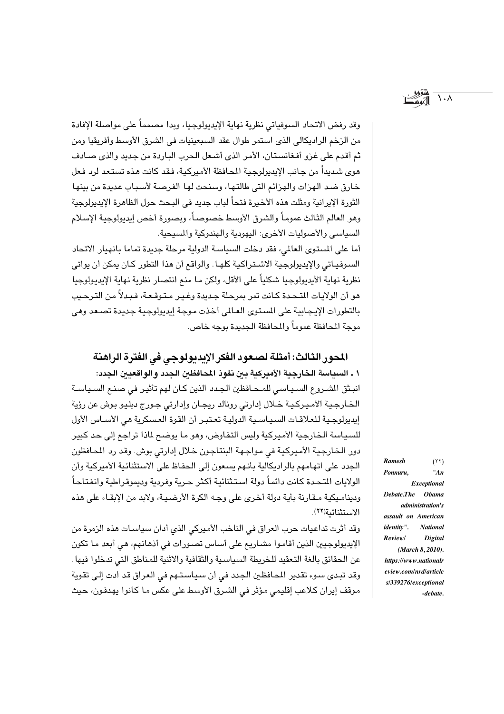$\lambda \cdot \lambda$ 

وقد رفض الاتحاد السوفياتي نظرية نهاية الإيديولوجيا، وبدا مصمماً على مواصلة الإفادة من الزخم الراديكالي الذي استمر طوال عقد السبعينيات في الشرق الأوسط وأفريقيا ومن ثم أقدم على غزو أفغانستان، الأمر الذي أشعل الحرب الباردة من جديد والذي صادف هوى شديداً من جانب الإيديولوجية المحافظة الأميركية، فقد كانت هذه تستعد لرد فعل خارق ضد الهزات والهزائم التي طالتها، وسنحت لها الفرصة لأسباب عديدة من بينها الثورة الإيرانية ومثلت هذه الأخيرة فتحاً لباب جديد في البـحث حول الظاهرة الإيديولوجية وهو العالم الثالث عموماً والشرق الأوسط خصوصاً، وبصورة أخص إيديولوجية الإسلام السياسي والأصوليات الأخرى: اليهودية والهندوكية والمسيحية.

أما على المستوى العالمي، فقد دخلت السياسة الدولية مرحلة جديدة تماما بانهيار الاتحاد السبوفياتي والإيديولوجية الاشتراكية كلها. والواقع أن هذا التطور كـان يمكن أن يواتي نظرية نهاية الأيديولوجيا شكلياً على الأقل، ولكن ما منع انتصار نظرية نهاية الإيديولوجيا هو أن الولايات التـحـدة كـانت تمر بمرحلة جـديدة وغـيـر مـتـوقـعـة، فـبـدلاً من التـرحـيب بالتطورات الإيجابية على المستوى العـالى أخذت موجة إيديولوجية جديدة تصـعد وهي موجة المحافظة عموماً والمحافظة الجديدة بوجه خاص.

## المحور الثالث: أمثلة لصعود الفكر الإبديولوجي في الفترة الراهنة

١ ـ السياسة الخارجية الأميركية بين نفوذ المحافظين الجدد والواقعيين الجدد: انبـثق الشـروع السـيـاسـي للمـحـافظين الـجـدد الذين كـان لـهم تأثيـر في صنـم السـيـاسـة الخارجية الأميركية خلال إدارتي رونالد ريجان وإدارتي جورج دبليو بوش عن رؤية إيديولوجية للعلاقات السياسية الدولية تعتبر أن القوة العسكرية هي الأساس الأول للسياسة الخارجية الأميركية وليس التفاوض، وهو ما يوضح لماذا تراجع إلى حد كبير دور الخارجية الأميركية في مواجهة البنتاجون خلال إدارتي بوش. وقد رد المحافظون الجدد على اتهامهم بالراديكالية بأنهم يسعون إلى الحفاظ على الاستثنائية الأميركية وأن الولايات المتحدة كانت دائماً دولة استثنائية أكثر حرية وفردية وديموقراطية وانفتاحاً وديناميكية مـقـارنة بأيـة دولة أخرى على وجـه الكرة الأرضـيـة، ولابد من الإبقـاء على هذه الاستثنائية(٢٢).

وقد أثرت تداعيات حرب العراق في الناخب الأميركي الذي أدان سياسات هذه الزمرة من الإيديولوجيين الذين أقاموا مشـاريـع على أسـاس تصـورات في أذهـانهم، هي أبعد مـا تكون عن الحقائق بالغة التعقيد للخريطة السياسية والثقافية والاثنية للمناطق التى تدخلوا فيها . وقد تبدى سوء تقدير المحافظين الجدد في أن سياستهم في العراق قد أدت إلى تقوية موقف إيران كلاعب إقليمي مؤثر في الشرق الأوسط على عكس ما كانوا يهدفون، حيث

Ramesh  $(55)$ Ponnuru  $"An$ Exceptional Debate.The **Obama** *administration's* assault on American identity". **National** Review/ **Digital** (March 8, 2010). https://www.nationalr eview.com/nrd/article s/339276/exceptional  $-debate.$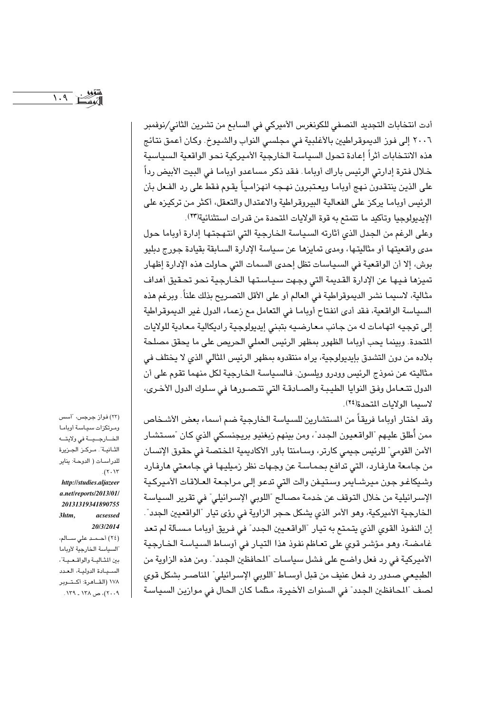$1.9$ 

أدت انتخابات التجديد النصفي للكونغرس الأميركي في السابع من تشرين الثاني/نوفمبر ٢٠٠٦ إلى فون الديموقراطيين بالأغلبية في مجلسي النواب والشيوخ. وكان أعمق نتائج هذه الانتخابات أثراً إعادة تحول السياسة الخارجية الأميركية نحو الواقعية السياسية خـلال فـترة إدارتي الرئيس باراك أوباما. فـقد ذكـر مساعدو أوبامـا في البـيت الأبيض رداً على الذين ينتقدون نـهج أوبامـا ويعـتبرون نهـجـه انهزامـياً يقـوم فـقط على رد الفـعل بأن الرئيس أوياما يركز على الفعالية البيروقراطية والاعتدال والتعقل، أكثر من تركيزه على الإيديولوجيا وتأكيد ما تتمتع به قوة الولايات المتحدة من قدرات استثنائية(٢٣).

وعلى الرغم من الجدل الذي أثارته السياسة الخارجية التي انتهجتها إدارة أوباما حول مدى واقعيتها أو مثاليتها، ومدى تمايزها عن سياسة الإدارة السابقة بقيادة جورج دبليو بوش، إلا أن الواقعية في السياسات تظل إحدى السمات التي حاولت هذه الإدارة إظهار تميزها فيها عن الإدارة القديمة التي وجهت سياستها الخارجية نحو تحقيق أهداف مثالية، لاسيمـا نشر الديموقراطية في العالم أو على الأقل التصـريح بذلك علناً. وبرغم هذه السياسة الواقعية، فقد أدى انفتاح أوباما في التعامل مع زعماء الدول غير الديموقراطية إلى توجيه اتهامات له من جانب معارضيه بتبنى إيديولوجية راديكالية معادية للولايات المتحدة. وبينما يحب أوباما الظهور بمظهر الرئيس العملى الحريص على ما يحقق مصلحة بلاده من دون التشدق بإيديولوجية، يراه منتقدوه بمظهر الرئيس الثالي الذي لا يختلف في مثاليته عن نموذج الرئيس وودرو ويلسون. فالسياسة الخارجية لكل منهما تقوم على أن الدول تتعامل وفق النوايا الطيبة والصادقة التي تتصورها في سلوك الدول الأخرى، لاسيما الولايات المتحدة(٢٤).

وقد اختار أوباما فريقاً من المستشارين للسياسة الخارجية ضم أسماء بعض الأشخاص ممن أُطلق عليهم "الواقعيون الجدد"، ومن بينهم زيغنيو بريجنسكي الذي كان "مستشار الأمن القومي" للرئيس جيمي كارتر، وسامنتا باور الأكاديمية المختصة في حقوق الإنسان من جامعة هارفارد، التي تدافع بحماسة عن وجهات نظر زمبليها في جامعتي هارفارد وشيكاغو جون ميرشايمر وستيفن والت التى تدعو إلى مراجعة العلاقات الأميركية الإسرائيلية من خلال التوقف عن خدمة مصالح "اللوبي الإسرائيلي" في تقرير السياسة الخارجية الأميركية، وهو الأمر الذي يشكل حجر الزاوية في رؤى تيار "الواقعيين الجدد". إن النفوذ القوى الذي يتمتع به تيار "الواقعيين الجدد" في فريق أوباما مسألة لم تعد غامضة، وهو مؤشر قوى على تعاظم نفوذ هذا التيار في أوساط السياسة الخارجية الأميركية في رد فعل واضح على فشل سياسات "المحافظين الجدد". ومن هذه الزاوية من الطبيعي صدور رد فعل عنيف من قبل أوسـاط "اللوبي الإسـرائيلي" المناصـر بشكل قوى لصف "المحافظين الجدد" في السنوات الأخيرة، مثلما كان الحال في موازين السياسة

(٢٣) فواز جرجس، "أسس ومرتكزات سياسة أوباما الخارجية في ولايته الثـانيـة". مـركـز الجـزيرة للدراسات (الدوحة: يناير  $.(\Upsilon \cdot \Upsilon)$ http://studies.aljazeer  $a.net$ /reports/2013/01/ 20131319341890755  $3$ htm acsessed 20/3/2014 (٢٤) أحـمـد علي ســالم، السياسة الخارجية لأوياما بين المشالية والواقعية"، السيبادة الدولية، العدد ١٧٨ (القــاهرة: أكـتــوير ۲۰۰۹)، ص ۱۳۸ ـ ۱۳۹.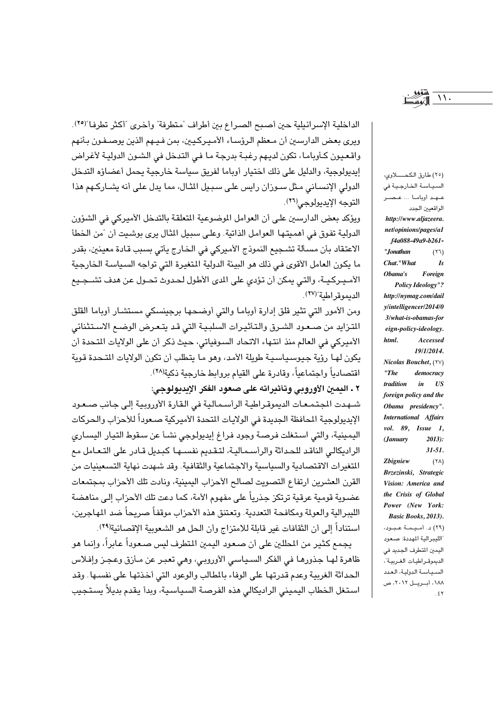الداخلية الإسرائيلية حين أصبح الصراع بين أطراف "متطرفة" وأخرى "أكثر تطرفا"(٢٥). ويرى بعض الدارسين أن معظم الرؤساء الأميركيين، بمن فيهم الذين يوصـفـون بـأنهم واقعيون كـأوبامـا، تكون لديـهم رغبـة بدرجة مـا فـى التدخل في الشـون الدوليـة لأغراض إيديولوجية، والدليل على ذلك اختيار أوباما لفريق سياسة خارجية يحمل أعضاؤه التدخل الدولی الإنسـانی مـثل سـوزان رايس علـی سـبـيل المثـال، مما يدل علـی أنه يشـاركـهم هذا التوجه الابدبولوجي(٢٦).

ويؤكد بعض الدارسين على أن العوامل الموضوعية المتعلقة بالتدخل الأميركي في الشؤون الدولية تفوق في أهميتها العوامل الذاتية. وعلى سبيل الثال يرى بوشيت أن "من الخطأ الاعتقاد بأن مسألة تشجيع النموذج الأميركي في الخارج يأتي بسبب قادة معينين، بقدر ما يكون العامل الأقوى في ذلك هو البيئة الدولية المتغيرة التي تواجه السياسة الخارجية الأمـيـركيــة، والتـي يمكن أن تؤدي على الدي الأطول لحـدوث تحــول عن هدف تشــجـيع الديموقر اطبة"(٢٧).

ومن الأمور التي تثير قلق إدارة أوباما والتي أوضحها برجيسكي مستشار أوباما القلق المتزايد من صعود الشرق والتأثيرات السلبية التي قد يتعرض الوضع الاستثنائي الأميركي في العالم منذ انتهاء الاتحاد السوفياتي، حيث ذكر أن على الولايات المتحدة أن يكون لهـا رؤية حيوسيباسيـة طويلة الأمد، وهو ما يتطلب أن تكون الولايات التـحدة قوية اقتصادياً واجتماعياً، وقادرة على القيام بروابط خارجية ذكية(٢٨).

٢ ـ اليمين الأوروبي وتأثيراته على صعود الفكر الإيديولوجي:

شهدت المجتمعات الديموقراطية الرأسمالية فى القارة الأوروبية إلى جانب صعود الإيديولوجية المحافظة الجديدة في الولايات المتحدة الأميركية صعوداً للأحزاب والحركات اليمينية، والتي استغلت فرصة وجود فراغ إيديولوجي نشئًا عن سقوط التيار اليساري الراديكالي الناقد للحداثة والرأسمالية، لتقديم نفسها كبديل قادر على التعامل مع المتغيرات الاقتصادية والسياسية والاجتماعية والثقافية. وقد شهدت نهاية التسعينيات من القرن العشرين ارتفاع التصويت لصالح الأحزاب اليمينية، ونادت تلك الأحزاب بمجتمعات عضبوية قومية عرقية ترتكز جذرياً على مفهوم الأمة، كما دعت تلك الأحزاب إلى مناهضة الليبرالية والعولة ومكافحة التعددية. وتعتنق هذه الأحزاب موقفاً صريحاً ضد المهاجرين، استناداً إلى أن الثقافات غير قابلة للامتزاج وأن الحل هو الشعوبية الإقصائية(٢٩).

يجمع كثير من المطلين على أن صعود اليمين المطرف ليس صعوداً عابراً، وإنما هو ظاهرة لهـا جذورهـا في الفكر السـيـاسـي الأوروبـي، وهـي تعبـر عن مـأزق وعـجـز وإفـلاس الحداثة الغربية وعدم قدرتها على الوفاء بالمطالب والوعود التي أخذتها على نفسها. وقد استغل الخطاب اليميني الراديكالي هذه الفرصة السياسية، وبدأ يقدم بديلاً يستجيب (٢٥) طارق الكحــــلاوي، السياسة الخارجية فى عهد أوباما ... عصر الواقعيين الجدد http://www.aljazeera. net/opinions/pages/a1 f4a088-49a9-b261-"Jonathan  $(57)$ Chat."What  $\overline{I}S$ Obama's Foreign Policy Ideology"? http://nymag.com/dail y/intelligencer/2014/0 3/what-is-obamas-for eign-policy-ideology. html. Accessed 19/1/2014. Nicolas Bouchet, (YV) democracy " $The$ tradition  $\mathbf{i}$   $\mathbf{n}$   $\mathbf{U}\mathbf{S}$ foreign policy and the Obama presidency". **International Affairs** vol. 89, Issue 1, (January  $2013$ :  $31 - 51$ . Zbigniew  $(Y\Lambda)$ Brzezinski, Strategic Vision: America and the Crisis of Global Power (New York: Basic Books, 2013). (٢٩) د. أميمة عبود، الليبرالية المهددة: صعود اليمين المتطرف الجديد في الديموقراطيات الغربية"، السياسة الدولية، العدد ١٨٨، أبريسل ٢٠١٢، ص  $55$ 

 $\mathcal{N}$ .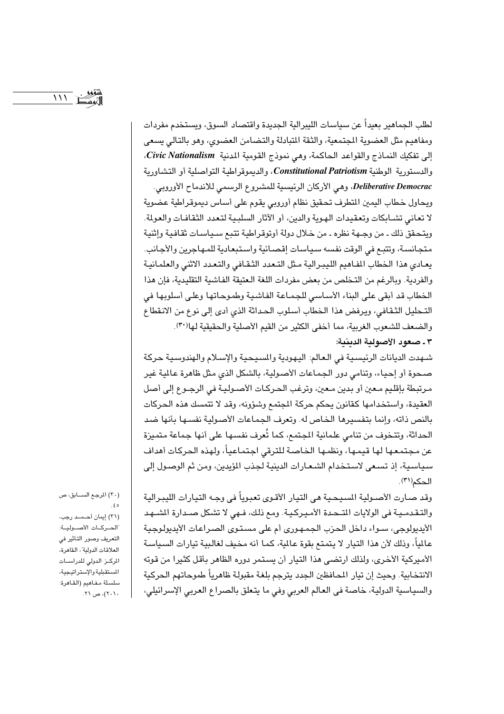$111<sup>2</sup>$ 

لطلب الجماهير بعيداً عن سياسات الليبرالية الجديدة واقتصاد السوق، ويستخدم مفردات ومفاهيم مثل العضوية المجتمعية، والثقة المتبادلة والتضامن العضوى، وهو بالتالي يسعى إلى تفكيك النماذج والقواعد الحاكمة، وهي نموذج القومية المدنية Civic Nationalism، والدستورية الوطنية Constitutional Patriotism، والديموقراطية التواصلية أو التشاورية Deliberative Democrac، وهي الأركان الرئيسية للمشروع الرسمي للاندماح الأوروبي. ويحاول خطاب اليمين المتطرف تحقيق نظام أوروبي يقوم على أساس ديموقراطية عضوية لا تعاني تشـابكات وتعقيدات الهـوية والدين، أو الآثار السلبـية لتـعدد الثقـافـات والعولمة. ويتحقق ذلك ـ من وجـهة نظره ـ من خـلال دولة أوتوقراطية تتبع سـيـاسـات ثقـافيـة وإثنيـة متجانسة، وتتبع في الوقت نفسه سياسات إقصائية واستبعادية للمهاجرين والأجانب. يعادى هذا الخطاب المفاهيم الليبرالية مثل التعدد الثقافي والتعدد الاثنى والعلمانية والفردية. وبالرغم من التخلص من بعض مفردات اللغة العتيقة الفاشية التقليدية، فإن هذا الخطاب قد أبقى على البناء الأساسي للجماعة الفاشية وطموحاتها وعلى أسلوبها في التحليل الثقافي، ويرفض هذا الخطاب أسلوب الحداثة الذي أدى إلى نوع من الانقطاع والضعف للشعوب الغربية، مما أخفى الكثير من القيم الأصلية والحقيقية لها(٣٠).

#### ٣ ـ صعود الأصولية الدينية:

شهدت الديانات الرئيسية في العالم: اليهودية والمسيحية والإسلام والهندوسية حركة صحوة أو إحياء، وتنامى دور الجماعات الأصولية، بالشكل الذي مثل ظاهرة عالمية غير مرتبطة بإقليم معين أو بدين معين، وترغب الحركات الأصـوليـة في الرجـوع إلى أصل العقيدة، واستخدامها كقانون يحكم حركة المجتمع وشؤونه، وقد لا تتمسك هذه الحركات بالنص ذاته، وإنما بتفسيرها الخاص له. وتعرف الجماعات الأصولية نفسها بأنها ضد الحداثة، وتتخوف من تنامي علمانية المجتمع، كما تُعرف نفسها على أنها جماعة متميزة عن مجتمعها لها قيمها، ونظمها الخاصة للترقى اجتماعياً، ولهذه الحركات أهداف سياسية، إذ تسعى لاستخدام الشعارات الدينية لجذب المؤيدين، ومن ثم الوصول إلى الحكم(٣١).

وقد صارت الأصـولية المسيحـية هي التيار الأقـوي تعبوياً في وجـه التيارات الليبـرالية والتقدمية في الولايات المتحدة الأميركية. ومع ذلك، فـهي لا تشكل صـدارة الشـهد الأيديولوجي، سـواء داخل الحزب الجمهوري أم على مستوى الصـراعات الأيديولوجية عالماً، وذلك لأن هذا التبار لا يتمتع يقوة عالمة، كما أنه مخيف لغالبية تبارات السياسة الأميركية الأخرى، ولذلك ارتضى هذا التيار أن يستمر دوره الظاهر بأقل كثيرا من قوته الانتخابية. وحيث إن تيار المحافظين الجدد يترجم بلغة مقبولة ظاهرياً طموحاتهم الحركية والسياسية الدولية، خاصة في العالم العربي وفي ما يتعلق بالصراع العربي الإسرائيلي،

(٣٠) المرجع السابق، ص  $\frac{2}{2}$ (٣١) إيمان أحـمـد رجب، الحركات الأصولية: التعريف وصور التأثير في العلاقات الدولية"، القاهرة، المركز الدولي للدراسات المستقبلية والإستراتيجية، سلسلة مفاهيم (القاهرة: ۲۰۱۰)، ص ۲۱.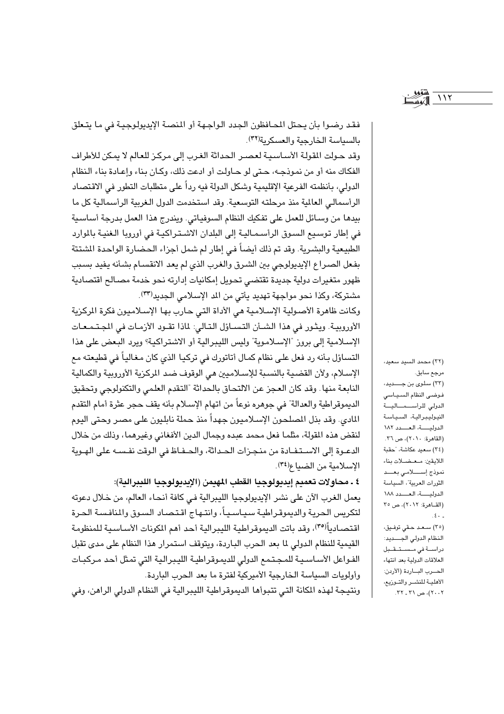$117$ 

فقد رضوا بأن يحتل المحافظون الجدد الواجهة أو المنصة الإيديولوجية في ما يتعلق بالسياسة الخارجية والعسكرية(٣٢).

وقد حولت المقولة الأساسية لعصر الحداثة الغرب إلى مركز للعالم لا يمكن للأطراف الفكاك منه أو من نموذجه، حتى لو حاولت أو ادعت ذلك، وكان بناء وإعادة بناء النظام الدولي، بأنظمته الفرعية الإقليمية وشكل الدولة فيه رداً على متطلبات التطور في الاقتصاد الرأسمالي العالمية منذ مرحلته التوسعية. وقد استخدمت الدول الغربية الرأسمالية كل ما بيدها من وسائل للعمل على تفكيك النظام السوفياتي. ويندرج هذا العمل بدرجة أساسية في إطار توسيع السوق الرأسمـاليـة إلى البلدان الاشـتـراكيـة في أوروبا الـغنيـة بالموارد الطبيعية والبشرية. وقد تم ذلك أيضاً في إطار لم شمل أجزاء الحضارة الواحدة الشتتة بفعل الصراع الإيديولوجي بين الشرق والغرب الذي لم يعد الانقسـام بشـأنه يفيد بسـبب ظهور متغيرات دولية جديدة تقتضى تحويل إمكانيات إدارته نحو خدمة مصالح اقتصادية مشتركة، وكذا نحو مواجهة تهديد يأتي من المد الإسلامي الجديد(٣٣).

وكانت ظاهرة الأصولية الإسلامية هي الأداة التي حارب بها الإسلاميون فكرة الركزية الأوروبية. ويثور في هذا الشـَّان التسـاؤل التـالي: لماذا تقـود الأزمـات في المجـتـمـعـات الإسلامية إلى بروز "الإسلاموية" وليس الليبرالية أو الاشتراكية؟ ويرد البعض على هذا التساؤل بأنه رد فعل على نظام كمال أتاتورك في تركيا الذي كان مغالياً في قطيعته مع الإسلام، ولأن القضية بالنسبة للإسلاميين هي الوقوف ضد الركزية الأوروبية والكمالية النابعة منها .وقد كان العجز عن الالتحاق بالحداثة "التقدم العلمي والتكنولوجي وتحقيق الديموقراطية والعدالة" في جوهره نوعاً من اتهام الإسـلام بأنه يقف حجر عثرة أمام التقدم المادي. وقد بذل المصلحون الإسـلاميون جهداً منذ حملة نابليون على مصـر وحتى اليوم لنقض هذه المقولة، مثلما فعل محمد عبده وجمال الدين الأفغاني وغيرهما، وذلك من خلال الدعـوة إلى الاسـتفـادة من منجـزات الحـداثة، والحـفـاظ في الـوقت نفـسـه على الهـوية الإسلامية من الضياع(٣٤).

٤ ـ محاولات تعميم إيديولوجيا القطب المهيمن (الإيديولوجيا الليبرالية): يعمل الغرب الآن على نشر الإيديولوجيا الليبرالية في كافة أنحاء العالم، من خلال دعوته لتكريس الحرية والديموقراطية سياسياً، وانتـهاج اقـتـصـاد السـوق والمنافسـة الـحرة اقتصـادياً<sup>(٣٥)</sup>، وقد باتت الديموقراطية الليبرالية أحد أهم المكونات الأسـاسـية للمنظومـة القيمية للنظام الدولي لما بعد الحرب الباردة، ويتوقف استمرار هذا النظام على مدى تقبل الفواعل الأساسية للمجتمع الدولى للديموقراطية الليبرالية التى تمثل أحد مركبات وأولويات السياسة الخارجية الأميركية لفترة ما بعد الحرب الباردة.

ونتيجة لهذه المكانة التي تتبوأها الديموقراطية الليبرالية في النظام الدولي الراهن، وفي

(٣٢) محمد السيد سعيد، مرجع سابق. (٢٣) سلوى بن جــــديد، فوضى النظام السياسي الدولي للرأسهمالية النيوليبرالية، السياسة الدولية، العدد ١٨٢ (القاهرة: ٢٠١٠)، ص ٣٦. (٣٤) سعيد عكاشة، "حقبة اللايقين: معضلات بناء نموذج إستالامي بعسد الثورات العربية"، السياسة الدولية، العدد ١٨٨ (القــاهرة: ٢٠١٢)، ص ٣٥  $\mathcal{L}$ . (٢٥) سعد حقي توفيق،

النظام الدولي الجسديد: دراسة فى مستقبل العلاقات الدولية بعد انتهاء الحسرب البساردة (الأردن: الأهلية للنشمر والتموزيع، ۲۰۰۲)، ص ۳۱ ـ ۳۲.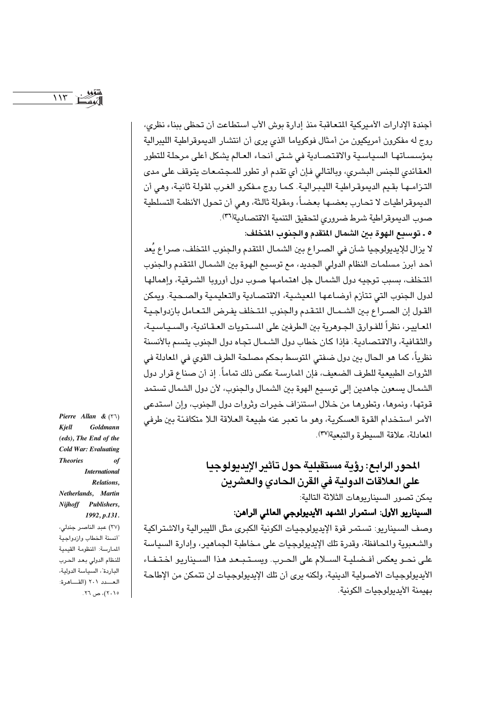$117<sup>-1</sup>$ 

أجندة الإدارات الأميركية المتعاقبة منذ إدارة بوش الأب استطاعت أن تحظى ببناء نظري، روج له مفكرون أمريكيون من أمثال فوكوياما الذي يرى أن انتشار الديموقراطية الليبرالية بمؤسساتها السياسية والاقتصادية في شتى أنحاء العالم يشكل أعلى مرحلة للتطور العقائدي للجنس البشري، وبالتالي فإن أي تقدم أو تطور للمجتمعات يتوقف على مدى التزامها بقيم الديموقراطية الليبرالية. كما روج مفكرو الغرب لقولة ثانية، وهي أن الديموقراطيات لا تحارب بعضـها بعضـاً، ومقولة ثالثة، وهي أن تحول الأنظمـة التسلطيـة صوب الديموقراطية شرط ضروري لتحقيق التنمية الاقتصادية(٣٦).

٥ ـ توسيع الهوة بين الشمال المتقدم والجنوب المتخلف:

لا يزال للإيديولوجيا شأن في الصراع بين الشمال المتقدم والجنوب المتخلف، صـراع يُعد أحد أبرز مسلمات النظام الدولي الجديد، مع توسيع الهوة بين الشمال المتقدم والجنوب اللتخلف، بسبب توجيه دول الشمال جل اهتمامها صوب دول أوروبا الشرقية، وإهمالها لدول الجنوب التي تتأزم أوضـاعـهـا المعيشـية، الاقتصـادية والتـعليمية والصـحية. ويمكن القول إن الصراع بين الشـمـال المتقدم والجنوب المتـخلف يفـرض الـتـعـامل بازدواجـيـة المعايير، نظراً للفـوارق الجـوهرية بين الطرفين على المسـتـويات العـقـائدية، والسـيـاسـيـة، والثقافية، والاقتصادية. فإذا كان خطاب دول الشمال تجاه دول الجنوب يتسم بالأنسنة نظرياً، كما هو الحال بين دول ضفتي المتوسط بحكم مصلحة الطرف القوى في المعادلة في الثروات الطبيعية للطرف الضعيف، فإن المارسة عكس ذلك تماماً. إذ أن صناع قرار دول الشمال يسعون جاهدين إلى توسيع الهوة بين الشمال والجنوب، لأن دول الشمال تستمد قوتها، ونموها، وتطورهـا من خـلال اسـتنزاف خيرات وثروات دول الجنوب، وإن اسـتدعى الأمر استخدام القوة العسكرية، وهو ما تعبر عنه طبيعة العلاقة اللا متكافئة بين طرفي المعادلة، علاقة السيطرة والتبعية (٣٧).

> المحور الرائع: رؤية مستقبلية حول تأثير الإيديولوجيا على العلاقات الدولية في القرن الحادي والعشرين

> > يمكن تصور السيناريوهات الثلاثة التالية:

السيناريو الأول: استمرار المشهد الأيديولوجي العالمي الراهن:

وصف السيناريو: تستمر قوة الإيديولوجيات الكونية الكبرى مثل الليبرالية والاشتراكية والشعبوبة والمحافظة، وقدرة تلك الإبدبولوجيات على مخاطبة الجماهير ، وإدارة السيباسة على نحـو يعكس أفـضليـة السـلام على الحـرب. ويسـتـبـعد هذا السـيناريو اختـفـاء الأيديولوجيات الأصولية الدينية، ولكنه يرى أن تلك الإيديولوجيات لن تتمكن من الإطاحة بهيمنة الأبدبولوجيات الكونية.

Pierre Allan &  $(51)$ Kjell Goldmann (eds), The End of the **Cold War: Evaluating Theories** of **International** Relations. Netherlands, Martin

Nijhoff Publishers, 1992, p.131. (٣٧) عبد الناصر جندلي، أنسنة الخطاب وازدواجية المارسة: المنظومة القيمية للنظام الدولي بعد الحرب الباردة"، السياسة الدولية، العسدد ٢٠١ (القاهرة:

۲۰۱۵)، ص ۲٦.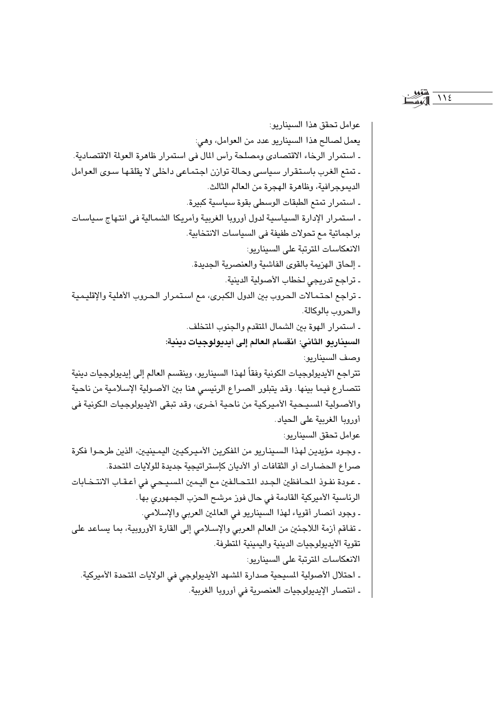$\bigwedge$   $\bigwedge$   $\bigtriangleup$ 

عوامل تحقق هذا السيناريو: يعمل لصالح هذا السيناريو عدد من العوامل، وهي: ـ استمرار الرخاء الاقتصادي ومصلحة رأس المال في استمرار ظاهرة العولة الاقتصادية. ـ تمتع الغرب باستقرار سياسي وحالة توازن اجتماعي داخلي لا يقلقها سوى العوامل الديموجرافية، وظاهرة الهجرة من العالم الثالث. ـ استمرار تمتع الطبقات الوسطى بقوة سياسية كبيرة. ـ استمرار الإدارة السياسية لدول أوروبا الغربية وأمريكا الشمالية في انتهاج سياسات براجماتية مع تحولات طفيفة في السياسات الانتخابية. الانعكاسات المترتبة على السيناريو: ـ إلحاق الهزيمة بالقوى الفاشية والعنصرية الجديدة. ـ تراجع تدريجي لخطاب الأصولية الدينية. ـ تراجع احتمالات الحروب بين الدول الكبرى، مع استمرار الحروب الأهلية والإقليمية والحروب بالوكالة. ـ استمرار الهوة بين الشمال المتقدم والجنوب المتخلف. السيناريو الثاني: انقسام العالم إلى أيديولوجيات دينية: وصف السيناريو: تتراجع الأيديولوجيات الكونية وفقاً لهذا السيناريو، وينقسم العالم إلى إيديولوجيات دينية تتصارع فيما بينها. وقد يتبلور الصراع الرئيسي هنا بين الأصولية الإسلامية من ناحية والأصولية السيحية الأميركية من ناحية أخرى، وقد تبقى الأيديولوجيات الكونية في أوروبا الغربية على الحياد. عوامل تحقق السيناريو: ۔ وجـود مؤيدين لهذا السـينـاريو من المفكرين الأميـركيـين اليمـينيـين، الذين طرحـوا فكرة صراع الحضارات أو الثقافات أو الأديان كإستراتيجية جديدة للولايات المتحدة. ـ عودة نفوذ المحافظين الجدد المتحالفين مع اليمين المسيحي في أعقاب الانتخابات الرئاسية الأميركية القادمة في حال فوز مرشح الحزب الجمهوري بها. ـ وجود أنصار أقوياء لهذا السيناريو في العالمين العربي والإسلامي. ـ تفاقم أزمة اللاجئين من العالم العربي والإسلامي إلى القارة الأوروبية، بما يساعد على تقوية الأبدبولوجيات الدينية والبمينية المتطرفة. الانعكاسات المترتبة على السيناريو: ـ احتلال الأصولية المسيحية صدارة الشهد الأيديولوجي في الولايات المتحدة الأميركية. ـ انتصار الإيديولوجيات العنصرية في أوروبا الغربية.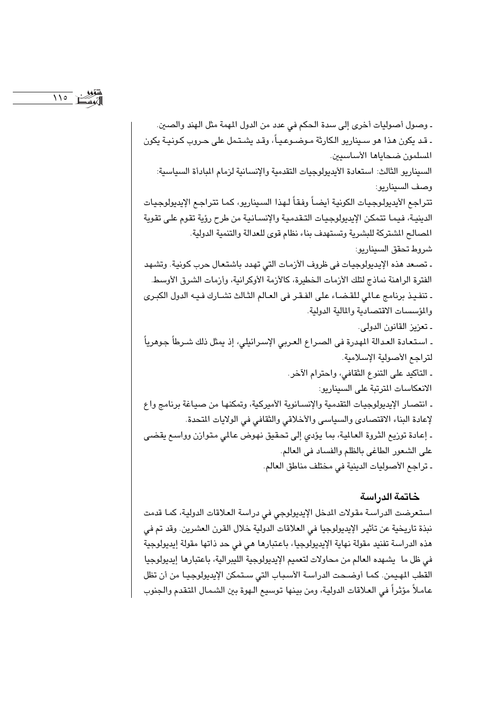۔ وصول أصوليات أخرى إلى سدة الحكم في عدد من الدول المهمة مثل الهند والصين. ۔ قد يكون هذا هو سـيناريو الكارثة مـوضـوعـيـاً، وقد يشـتـمل على حـروب كـونيـة يكون المسلمون ضحاياها الأساسيين. السيناريو الثالث: استعادة الأيديولوجيات التقدمية والإنسانية لزمام المادأة السياسية: وصف السيناريو: تتراحع الأبدبولوجيات الكونية أيضاً وفقاً لهذا السيناريو، كما تتراجع الإبدبولوجيات الدينية، فيما تتمكن الإيديولوجيات التقدمية والإنسانية من طرح رؤية تقوم على تقوية المصالح الشتركة للبشرية وتستهدف بناء نظام قوى للعدالة والتنمية الدولية. شروط تحقق السيناريو: ـ تصـعد هذه الإيديولوجيات في ظروف الأزمات التي تهدد باشتعال حرب كونية. وتشهد الفترة الراهنة نماذج لتلك الأزمات الخطيرة، كالأزمة الأوكرانية، وأزمات الشرق الأوسط. ـ تنفيذ برنامج عـالمي للقـضـاء على الفـقـر في العـالم الثـالث تشـارك فـيـه الدول الكبـرى والمؤسسات الاقتصادية والمالية الدولية. ـ تعزيز القانون الدولي. ـ اسـتـعـادة الـعـدالة المهدرة في الصـراع الـعـربي الإسـرائيلي، إذ يمثل ذلك شـرطاً جـوهرياً ۖ لتراحع الأصولية الإسلامية. ـ التأكيد على التنوع الثقافي، واحترام الآخر. الانعكاسات المترتبة على السيناريو: ـ انتصار الإيديولوجيات التقدمية والإنسانوية الأميركية، وتمكنها من صياغة برنامج واع لإعادة البناء الاقتصادي والسياسي والأخلاقي والثقافي في الولايات المتحدة. ـ إعادة توزيع الثروة العالية، بما يؤدي إلى تحقيق نهوض عالمي متوازن وواسع يقضى على الشعور الطاغي بالظلم والفساد في العالم. ـ تراجع الأصوليات الدينية في مختلف مناطق العالم.

### خاتمة الدراسة

استعرضت الدراسة مقولات المدخل الإيديولوجي في دراسة العلاقات الدولية، كما قدمت نبذة تاريخية عن تأثير الإيديولوجيا في العلاقات الدولية خلال القرن العشرين. وقد تم في هذه الدراسة تفنيد مقولة نهاية الإيديولوجيا، باعتبارها هي في حد ذاتها مقولة إيديولوجية في ظل ما يشهده العالم من محاولات لتعميم الإيديولوجية الليبرالية، باعتبارها إيديولوجيا القطب المهيمن. كما أوضحت الدراسة الأسباب التي ستمكن الإيديولوجيا من أن تظل عاملاً مؤثراً في العلاقات الدولية، ومن بينها توسيع الـهوة بين الشـمـال المتقدم والـجنوب